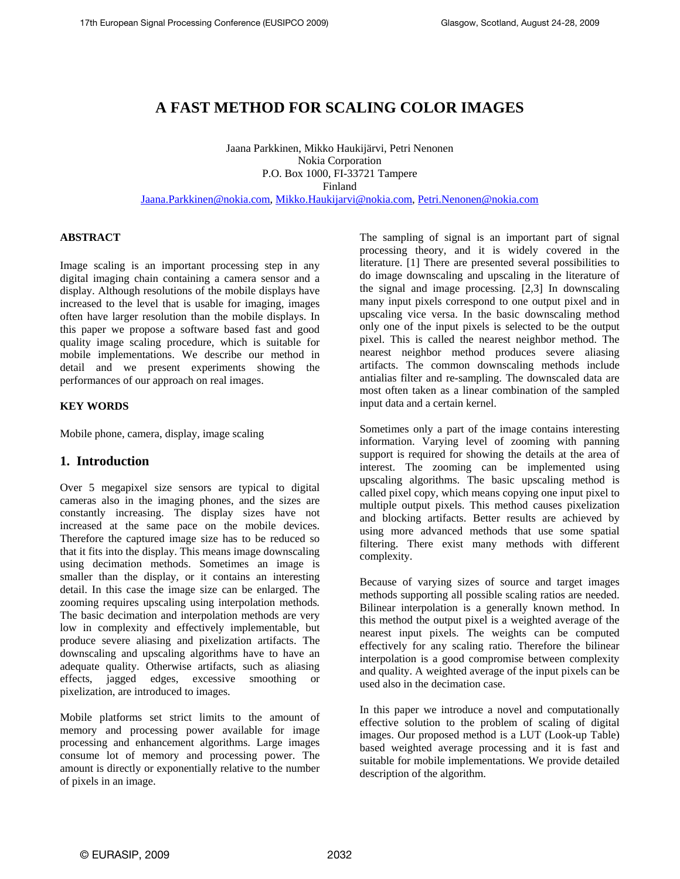# **A FAST METHOD FOR SCALING COLOR IMAGES**

Jaana Parkkinen, Mikko Haukijärvi, Petri Nenonen Nokia Corporation P.O. Box 1000, FI-33721 Tampere Finland

Jaana.Parkkinen@nokia.com, Mikko.Haukijarvi@nokia.com, Petri.Nenonen@nokia.com

#### **ABSTRACT**

Image scaling is an important processing step in any digital imaging chain containing a camera sensor and a display. Although resolutions of the mobile displays have increased to the level that is usable for imaging, images often have larger resolution than the mobile displays. In this paper we propose a software based fast and good quality image scaling procedure, which is suitable for mobile implementations. We describe our method in detail and we present experiments showing the performances of our approach on real images.

#### **KEY WORDS**

Mobile phone, camera, display, image scaling

# **1. Introduction**

Over 5 megapixel size sensors are typical to digital cameras also in the imaging phones, and the sizes are constantly increasing. The display sizes have not increased at the same pace on the mobile devices. Therefore the captured image size has to be reduced so that it fits into the display. This means image downscaling using decimation methods. Sometimes an image is smaller than the display, or it contains an interesting detail. In this case the image size can be enlarged. The zooming requires upscaling using interpolation methods*.* The basic decimation and interpolation methods are very low in complexity and effectively implementable, but produce severe aliasing and pixelization artifacts. The downscaling and upscaling algorithms have to have an adequate quality. Otherwise artifacts, such as aliasing effects, jagged edges, excessive smoothing or pixelization, are introduced to images.

Mobile platforms set strict limits to the amount of memory and processing power available for image processing and enhancement algorithms. Large images consume lot of memory and processing power. The amount is directly or exponentially relative to the number of pixels in an image.

The sampling of signal is an important part of signal processing theory, and it is widely covered in the literature. [1] There are presented several possibilities to do image downscaling and upscaling in the literature of the signal and image processing. [2,3] In downscaling many input pixels correspond to one output pixel and in upscaling vice versa. In the basic downscaling method only one of the input pixels is selected to be the output pixel. This is called the nearest neighbor method. The nearest neighbor method produces severe aliasing artifacts. The common downscaling methods include antialias filter and re-sampling. The downscaled data are most often taken as a linear combination of the sampled input data and a certain kernel.

Sometimes only a part of the image contains interesting information. Varying level of zooming with panning support is required for showing the details at the area of interest. The zooming can be implemented using upscaling algorithms. The basic upscaling method is called pixel copy, which means copying one input pixel to multiple output pixels. This method causes pixelization and blocking artifacts. Better results are achieved by using more advanced methods that use some spatial filtering. There exist many methods with different complexity.

Because of varying sizes of source and target images methods supporting all possible scaling ratios are needed. Bilinear interpolation is a generally known method. In this method the output pixel is a weighted average of the nearest input pixels. The weights can be computed effectively for any scaling ratio. Therefore the bilinear interpolation is a good compromise between complexity and quality. A weighted average of the input pixels can be used also in the decimation case.

In this paper we introduce a novel and computationally effective solution to the problem of scaling of digital images. Our proposed method is a LUT (Look-up Table) based weighted average processing and it is fast and suitable for mobile implementations. We provide detailed description of the algorithm.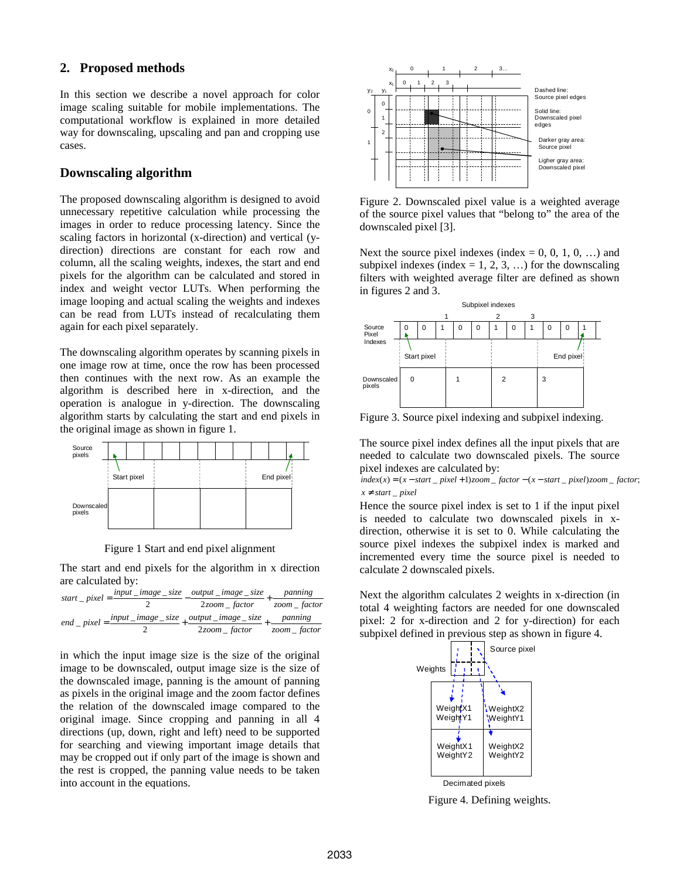## **2. Proposed methods**

In this section we describe a novel approach for color image scaling suitable for mobile implementations. The computational workflow is explained in more detailed way for downscaling, upscaling and pan and cropping use cases.

#### **Downscaling algorithm**

The proposed downscaling algorithm is designed to avoid unnecessary repetitive calculation while processing the images in order to reduce processing latency. Since the scaling factors in horizontal (x-direction) and vertical (ydirection) directions are constant for each row and column, all the scaling weights, indexes, the start and end pixels for the algorithm can be calculated and stored in index and weight vector LUTs. When performing the image looping and actual scaling the weights and indexes can be read from LUTs instead of recalculating them again for each pixel separately.

The downscaling algorithm operates by scanning pixels in one image row at time, once the row has been processed then continues with the next row. As an example the algorithm is described here in x-direction, and the operation is analogue in y-direction. The downscaling algorithm starts by calculating the start and end pixels in the original image as shown in figure 1.



Figure 1 Start and end pixel alignment

The start and end pixels for the algorithm in x direction are calculated by:

|  | start _ pixel = $\frac{input\_image\_size}{input\_image\_size}$                           | panning       |
|--|-------------------------------------------------------------------------------------------|---------------|
|  | 2 <i>zoom factor</i>                                                                      | zoom _ factor |
|  | $end$ <sub>-</sub> pixel = $\frac{input\_image\_size}{} + \frac{output\_image\_size}{}$ . | panning       |
|  | $2zoom$ factor                                                                            | zoom _ factor |

in which the input image size is the size of the original image to be downscaled, output image size is the size of the downscaled image, panning is the amount of panning as pixels in the original image and the zoom factor defines the relation of the downscaled image compared to the original image. Since cropping and panning in all 4 directions (up, down, right and left) need to be supported for searching and viewing important image details that may be cropped out if only part of the image is shown and the rest is cropped, the panning value needs to be taken into account in the equations.



Figure 2. Downscaled pixel value is a weighted average of the source pixel values that "belong to" the area of the downscaled pixel [3].

Next the source pixel indexes (index  $= 0, 0, 1, 0, \ldots$ ) and subpixel indexes (index  $= 1, 2, 3, \ldots$ ) for the downscaling filters with weighted average filter are defined as shown in figures 2 and 3.



Figure 3. Source pixel indexing and subpixel indexing.

The source pixel index defines all the input pixels that are needed to calculate two downscaled pixels. The source pixel indexes are calculated by:

*x* ≠ *start* <sub>−</sub> pixel  $index(x) = (x - start_pixel + 1)zoom_factor - (x - start_pixel)zoom_factor$ ;

Hence the source pixel index is set to 1 if the input pixel is needed to calculate two downscaled pixels in xdirection, otherwise it is set to 0. While calculating the source pixel indexes the subpixel index is marked and incremented every time the source pixel is needed to calculate 2 downscaled pixels.

Next the algorithm calculates 2 weights in x-direction (in total 4 weighting factors are needed for one downscaled pixel: 2 for x-direction and 2 for y-direction) for each subpixel defined in previous step as shown in figure 4.



Figure 4. Defining weights.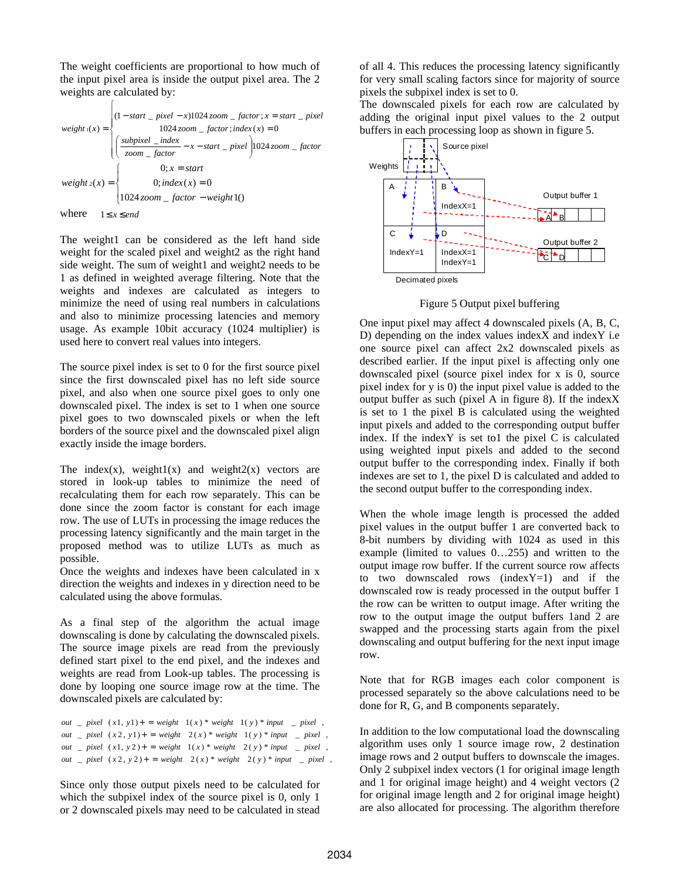The weight coefficients are proportional to how much of the input pixel area is inside the output pixel area. The 2 weights are calculated by:

 $\sqrt{ }$ 

$$
weight_1(x) = \begin{cases} (1 - start - pixel - x)1024 \text{ zoom} - factor; x = start - pixel \\ 1024 \text{ zoom} - factor; index(x) = 0 \end{cases}
$$

$$
weight_1(x) = \begin{cases} (1 - start - pixel - index - x - start - pixel)1024 \text{ zoom} - factor \\ 200m - factor - x - start - pixel - index \end{cases}
$$

$$
weight_2(x) = \begin{cases} 0; x = start \\ 0; index(x) = 0 \\ 1024 \text{ zoom} - factor - weight10 \end{cases}
$$

$$
where \quad 1 \le x \le end
$$

The weight1 can be considered as the left hand side weight for the scaled pixel and weight2 as the right hand side weight. The sum of weight1 and weight2 needs to be 1 as defined in weighted average filtering. Note that the weights and indexes are calculated as integers to minimize the need of using real numbers in calculations and also to minimize processing latencies and memory usage. As example 10bit accuracy (1024 multiplier) is used here to convert real values into integers.

The source pixel index is set to 0 for the first source pixel since the first downscaled pixel has no left side source pixel, and also when one source pixel goes to only one downscaled pixel. The index is set to 1 when one source pixel goes to two downscaled pixels or when the left borders of the source pixel and the downscaled pixel align exactly inside the image borders.

The index(x), weight $1(x)$  and weight $2(x)$  vectors are stored in look-up tables to minimize the need of recalculating them for each row separately. This can be done since the zoom factor is constant for each image row. The use of LUTs in processing the image reduces the processing latency significantly and the main target in the proposed method was to utilize LUTs as much as possible.

Once the weights and indexes have been calculated in x direction the weights and indexes in y direction need to be calculated using the above formulas.

As a final step of the algorithm the actual image downscaling is done by calculating the downscaled pixels. The source image pixels are read from the previously defined start pixel to the end pixel, and the indexes and weights are read from Look-up tables. The processing is done by looping one source image row at the time. The downscaled pixels are calculated by:

 $out \_ pixel \ (x \, 2, \, y \, 2) + = weight \ 2(x) * weight \ 2(y) * input \_ pixel \; ,$  $out \_ pixel \ (x1, y2) + = weight \ 1(x) * weight \ 2(y) * input \_ pixel,$  $out \_ pixel \ (x \, 2, y \, 1) + = weight \ 2(x) * weight \ 1(y) * input \_ pixel \ ,$  $out \_\_pixel \ (x1, y1) + = weight \ 1(x) * weight \ 1(y) * input \_\_pixel$ ,

Since only those output pixels need to be calculated for which the subpixel index of the source pixel is 0, only 1 or 2 downscaled pixels may need to be calculated in stead

of all 4. This reduces the processing latency significantly for very small scaling factors since for majority of source pixels the subpixel index is set to 0.

The downscaled pixels for each row are calculated by adding the original input pixel values to the 2 output buffers in each processing loop as shown in figure 5.



Figure 5 Output pixel buffering

One input pixel may affect 4 downscaled pixels (A, B, C, D) depending on the index values indexX and indexY i.e one source pixel can affect 2x2 downscaled pixels as described earlier. If the input pixel is affecting only one downscaled pixel (source pixel index for x is 0, source pixel index for y is 0) the input pixel value is added to the output buffer as such (pixel A in figure 8). If the indexX is set to 1 the pixel B is calculated using the weighted input pixels and added to the corresponding output buffer index. If the indexY is set to1 the pixel C is calculated using weighted input pixels and added to the second output buffer to the corresponding index. Finally if both indexes are set to 1, the pixel D is calculated and added to the second output buffer to the corresponding index.

When the whole image length is processed the added pixel values in the output buffer 1 are converted back to 8-bit numbers by dividing with 1024 as used in this example (limited to values 0…255) and written to the output image row buffer. If the current source row affects to two downscaled rows (index  $Y=1$ ) and if the downscaled row is ready processed in the output buffer 1 the row can be written to output image. After writing the row to the output image the output buffers 1and 2 are swapped and the processing starts again from the pixel downscaling and output buffering for the next input image row.

Note that for RGB images each color component is processed separately so the above calculations need to be done for R, G, and B components separately.

In addition to the low computational load the downscaling algorithm uses only 1 source image row, 2 destination image rows and 2 output buffers to downscale the images. Only 2 subpixel index vectors (1 for original image length and 1 for original image height) and 4 weight vectors (2 for original image length and 2 for original image height) are also allocated for processing. The algorithm therefore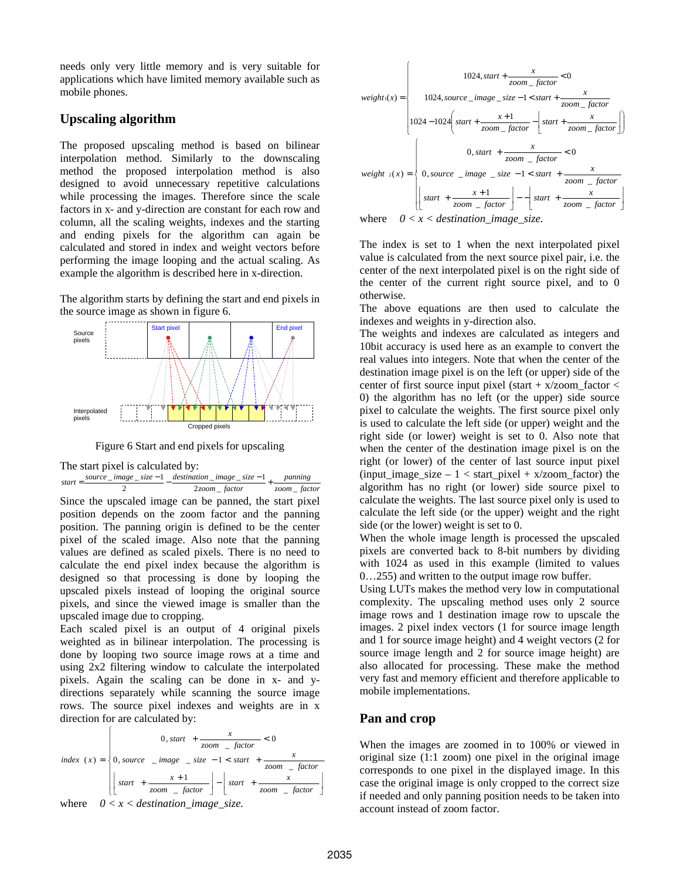needs only very little memory and is very suitable for applications which have limited memory available such as mobile phones.

#### **Upscaling algorithm**

The proposed upscaling method is based on bilinear interpolation method. Similarly to the downscaling method the proposed interpolation method is also designed to avoid unnecessary repetitive calculations while processing the images. Therefore since the scale factors in x- and y-direction are constant for each row and column, all the scaling weights, indexes and the starting and ending pixels for the algorithm can again be calculated and stored in index and weight vectors before performing the image looping and the actual scaling. As example the algorithm is described here in x-direction.

The algorithm starts by defining the start and end pixels in the source image as shown in figure 6.



Figure 6 Start and end pixels for upscaling

The start pixel is calculated by:

| $start = -$ |  | source _image _ size -1 destination _image _ size -1 |                | panning       |  |
|-------------|--|------------------------------------------------------|----------------|---------------|--|
|             |  |                                                      | $2zoom$ factor | zoom _ factor |  |

Since the upscaled image can be panned, the start pixel position depends on the zoom factor and the panning position. The panning origin is defined to be the center pixel of the scaled image. Also note that the panning values are defined as scaled pixels. There is no need to calculate the end pixel index because the algorithm is designed so that processing is done by looping the upscaled pixels instead of looping the original source pixels, and since the viewed image is smaller than the upscaled image due to cropping.

Each scaled pixel is an output of 4 original pixels weighted as in bilinear interpolation. The processing is done by looping two source image rows at a time and using 2x2 filtering window to calculate the interpolated pixels. Again the scaling can be done in x- and ydirections separately while scanning the source image rows. The source pixel indexes and weights are in x direction for are calculated by:

 $\overline{\phantom{a}}$ l  $\overline{\phantom{a}}$ I ₹ ſ  $\left[\text{start} + \frac{x+1}{\text{zoom} - \text{factor}}\right] - \left[\text{start} + \frac{x}{\text{zoom} - \text{factor}}\right]$  $= \{0, source \_image \_size -1 < start +$  $0, start + \frac{x}{zoom} - factor$  < 0 *zoom* <u>*factor x* + 1 *zoom \_ factor x zoom \_ factor*</u> *z*  $i$ *mdex*  $f(x) = \begin{cases} 0, \text{ source} \\ -\text{ image} \end{cases}$  *size*  $-1 < \text{start} + \frac{x}{\text{zoom}}$  *factor*  $\lceil$  factor  $\lceil$   $\lceil$   $\lceil$   $\lceil$   $\lceil$   $\lceil$   $\lceil$   $\lceil$   $\lceil$   $\lceil$   $\lceil$   $\lceil$   $\lceil$   $\lceil$   $\lceil$   $\lceil$   $\lceil$   $\lceil$   $\lceil$   $\lceil$   $\lceil$   $\lceil$   $\lceil$   $\lceil$   $\lceil$   $\lceil$   $\lceil$   $\lceil$   $\lceil$   $\lceil$   $\lceil$   $\lceil$   $\lceil$   $\lceil$   $\lceil$ 1  $f(x) = \begin{cases} 0, source \end{cases}$  \_ image \_ size - 1 < start +  $\frac{1}{2}$ where  $0 < x <$  destination image size.





The index is set to 1 when the next interpolated pixel value is calculated from the next source pixel pair, i.e. the center of the next interpolated pixel is on the right side of the center of the current right source pixel, and to 0 otherwise.

The above equations are then used to calculate the indexes and weights in y-direction also.

The weights and indexes are calculated as integers and 10bit accuracy is used here as an example to convert the real values into integers. Note that when the center of the destination image pixel is on the left (or upper) side of the center of first source input pixel (start + x/zoom\_factor < 0) the algorithm has no left (or the upper) side source pixel to calculate the weights. The first source pixel only is used to calculate the left side (or upper) weight and the right side (or lower) weight is set to 0. Also note that when the center of the destination image pixel is on the right (or lower) of the center of last source input pixel (input image size – 1 < start pixel + x/zoom factor) the algorithm has no right (or lower) side source pixel to calculate the weights. The last source pixel only is used to calculate the left side (or the upper) weight and the right side (or the lower) weight is set to 0.

When the whole image length is processed the upscaled pixels are converted back to 8-bit numbers by dividing with 1024 as used in this example (limited to values 0…255) and written to the output image row buffer.

Using LUTs makes the method very low in computational complexity. The upscaling method uses only 2 source image rows and 1 destination image row to upscale the images. 2 pixel index vectors (1 for source image length and 1 for source image height) and 4 weight vectors (2 for source image length and 2 for source image height) are also allocated for processing. These make the method very fast and memory efficient and therefore applicable to mobile implementations.

#### **Pan and crop**

When the images are zoomed in to 100% or viewed in original size (1:1 zoom) one pixel in the original image corresponds to one pixel in the displayed image. In this case the original image is only cropped to the correct size if needed and only panning position needs to be taken into account instead of zoom factor.